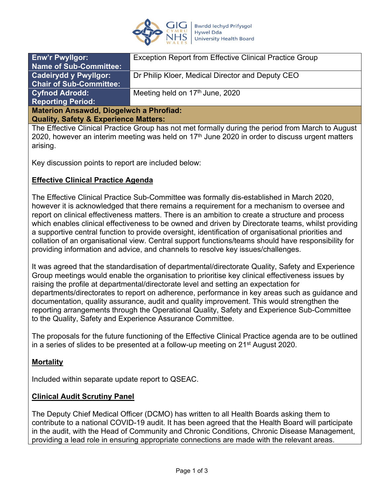

| <b>Enw'r Pwyllgor:</b>                           | <b>Exception Report from Effective Clinical Practice Group</b> |
|--------------------------------------------------|----------------------------------------------------------------|
| <b>Name of Sub-Committee:</b>                    |                                                                |
| <b>Cadeirydd y Pwyllgor:</b>                     | Dr Philip Kloer, Medical Director and Deputy CEO               |
| <b>Chair of Sub-Committee:</b>                   |                                                                |
| <b>Cyfnod Adrodd:</b>                            | Meeting held on 17th June, 2020                                |
| <b>Reporting Period:</b>                         |                                                                |
| <b>Materion Ansawdd, Diogelwch a Phrofiad:</b>   |                                                                |
| <b>Quality, Safety &amp; Experience Matters:</b> |                                                                |
|                                                  |                                                                |

The Effective Clinical Practice Group has not met formally during the period from March to August 2020, however an interim meeting was held on  $17<sup>th</sup>$  June 2020 in order to discuss urgent matters arising.

Key discussion points to report are included below:

### **Effective Clinical Practice Agenda**

The Effective Clinical Practice Sub-Committee was formally dis-established in March 2020, however it is acknowledged that there remains a requirement for a mechanism to oversee and report on clinical effectiveness matters. There is an ambition to create a structure and process which enables clinical effectiveness to be owned and driven by Directorate teams, whilst providing a supportive central function to provide oversight, identification of organisational priorities and collation of an organisational view. Central support functions/teams should have responsibility for providing information and advice, and channels to resolve key issues/challenges.

It was agreed that the standardisation of departmental/directorate Quality, Safety and Experience Group meetings would enable the organisation to prioritise key clinical effectiveness issues by raising the profile at departmental/directorate level and setting an expectation for departments/directorates to report on adherence, performance in key areas such as guidance and documentation, quality assurance, audit and quality improvement. This would strengthen the reporting arrangements through the Operational Quality, Safety and Experience Sub-Committee to the Quality, Safety and Experience Assurance Committee.

The proposals for the future functioning of the Effective Clinical Practice agenda are to be outlined in a series of slides to be presented at a follow-up meeting on 21<sup>st</sup> August 2020.

## **Mortality**

Included within separate update report to QSEAC.

### **Clinical Audit Scrutiny Panel**

The Deputy Chief Medical Officer (DCMO) has written to all Health Boards asking them to contribute to a national COVID-19 audit. It has been agreed that the Health Board will participate in the audit, with the Head of Community and Chronic Conditions, Chronic Disease Management, providing a lead role in ensuring appropriate connections are made with the relevant areas.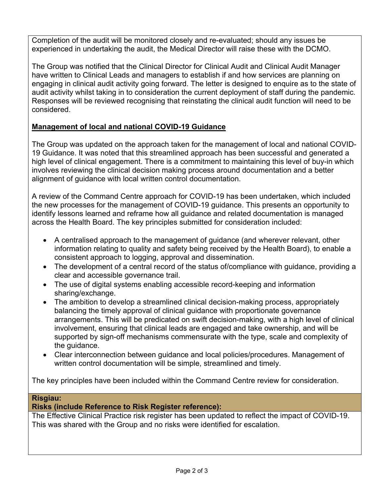Completion of the audit will be monitored closely and re-evaluated; should any issues be experienced in undertaking the audit, the Medical Director will raise these with the DCMO.

The Group was notified that the Clinical Director for Clinical Audit and Clinical Audit Manager have written to Clinical Leads and managers to establish if and how services are planning on engaging in clinical audit activity going forward. The letter is designed to enquire as to the state of audit activity whilst taking in to consideration the current deployment of staff during the pandemic. Responses will be reviewed recognising that reinstating the clinical audit function will need to be considered.

# **Management of local and national COVID-19 Guidance**

The Group was updated on the approach taken for the management of local and national COVID-19 Guidance. It was noted that this streamlined approach has been successful and generated a high level of clinical engagement. There is a commitment to maintaining this level of buy-in which involves reviewing the clinical decision making process around documentation and a better alignment of guidance with local written control documentation.

A review of the Command Centre approach for COVID-19 has been undertaken, which included the new processes for the management of COVID-19 guidance. This presents an opportunity to identify lessons learned and reframe how all guidance and related documentation is managed across the Health Board. The key principles submitted for consideration included:

- A centralised approach to the management of guidance (and wherever relevant, other information relating to quality and safety being received by the Health Board), to enable a consistent approach to logging, approval and dissemination.
- The development of a central record of the status of/compliance with guidance, providing a clear and accessible governance trail.
- The use of digital systems enabling accessible record-keeping and information sharing/exchange.
- The ambition to develop a streamlined clinical decision-making process, appropriately balancing the timely approval of clinical guidance with proportionate governance arrangements. This will be predicated on swift decision-making, with a high level of clinical involvement, ensuring that clinical leads are engaged and take ownership, and will be supported by sign-off mechanisms commensurate with the type, scale and complexity of the guidance.
- Clear interconnection between guidance and local policies/procedures. Management of written control documentation will be simple, streamlined and timely.

The key principles have been included within the Command Centre review for consideration.

### **Risgiau:**

### **Risks (include Reference to Risk Register reference):**

The Effective Clinical Practice risk register has been updated to reflect the impact of COVID-19. This was shared with the Group and no risks were identified for escalation.